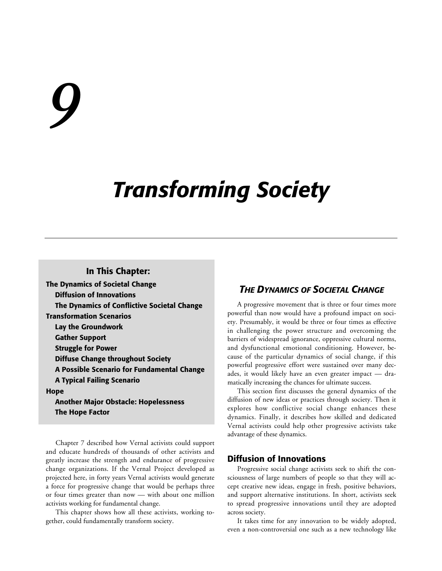# *9*

## *Transforming Society*

#### **In This Chapter:**

**The Dynamics of Societal Change Diffusion of Innovations The Dynamics of Conflictive Societal Change Transformation Scenarios Lay the Groundwork Gather Support Struggle for Power Diffuse Change throughout Society A Possible Scenario for Fundamental Change A Typical Failing Scenario Hope Another Major Obstacle: Hopelessness**

**The Hope Factor**

Chapter 7 described how Vernal activists could support and educate hundreds of thousands of other activists and greatly increase the strength and endurance of progressive change organizations. If the Vernal Project developed as projected here, in forty years Vernal activists would generate a force for progressive change that would be perhaps three or four times greater than now — with about one million activists working for fundamental change.

This chapter shows how all these activists, working together, could fundamentally transform society.

#### *THE DYNAMICS OF SOCIETAL CHANGE*

A progressive movement that is three or four times more powerful than now would have a profound impact on society. Presumably, it would be three or four times as effective in challenging the power structure and overcoming the barriers of widespread ignorance, oppressive cultural norms, and dysfunctional emotional conditioning. However, because of the particular dynamics of social change, if this powerful progressive effort were sustained over many decades, it would likely have an even greater impact — dramatically increasing the chances for ultimate success.

This section first discusses the general dynamics of the diffusion of new ideas or practices through society. Then it explores how conflictive social change enhances these dynamics. Finally, it describes how skilled and dedicated Vernal activists could help other progressive activists take advantage of these dynamics.

#### **Diffusion of Innovations**

Progressive social change activists seek to shift the consciousness of large numbers of people so that they will accept creative new ideas, engage in fresh, positive behaviors, and support alternative institutions. In short, activists seek to spread progressive innovations until they are adopted across society.

It takes time for any innovation to be widely adopted, even a non-controversial one such as a new technology like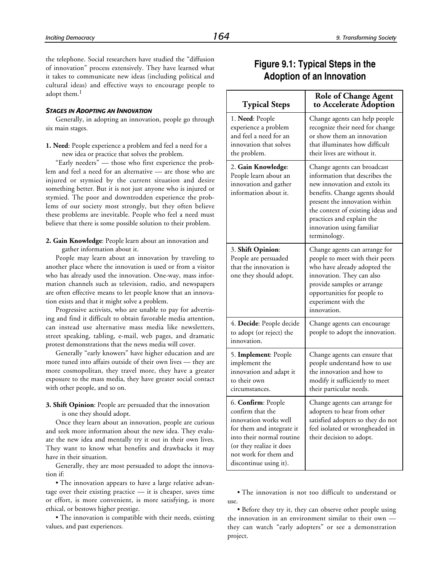the telephone. Social researchers have studied the "diffusion of innovation" process extensively. They have learned what it takes to communicate new ideas (including political and cultural ideas) and effective ways to encourage people to adopt them.<sup>1</sup>

#### *STAGES IN ADOPTING AN INNOVATION*

Generally, in adopting an innovation, people go through six main stages.

**1. Need**: People experience a problem and feel a need for a new idea or practice that solves the problem.

"Early needers" — those who first experience the problem and feel a need for an alternative — are those who are injured or stymied by the current situation and desire something better. But it is not just anyone who is injured or stymied. The poor and downtrodden experience the problems of our society most strongly, but they often believe these problems are inevitable. People who feel a need must believe that there is some possible solution to their problem.

#### **2. Gain Knowledge**: People learn about an innovation and gather information about it.

People may learn about an innovation by traveling to another place where the innovation is used or from a visitor who has already used the innovation. One-way, mass information channels such as television, radio, and newspapers are often effective means to let people know that an innovation exists and that it might solve a problem.

Progressive activists, who are unable to pay for advertising and find it difficult to obtain favorable media attention, can instead use alternative mass media like newsletters, street speaking, tabling, e-mail, web pages, and dramatic protest demonstrations that the news media will cover.

Generally "early knowers" have higher education and are more tuned into affairs outside of their own lives — they are more cosmopolitan, they travel more, they have a greater exposure to the mass media, they have greater social contact with other people, and so on.

#### **3. Shift Opinion**: People are persuaded that the innovation is one they should adopt.

Once they learn about an innovation, people are curious and seek more information about the new idea. They evaluate the new idea and mentally try it out in their own lives. They want to know what benefits and drawbacks it may have in their situation.

Generally, they are most persuaded to adopt the innovation if:

• The innovation appears to have a large relative advantage over their existing practice — it is cheaper, saves time or effort, is more convenient, is more satisfying, is more ethical, or bestows higher prestige.

• The innovation is compatible with their needs, existing values, and past experiences.

#### **Figure 9.1: Typical Steps in the Adoption of an Innovation**

| <b>Typical Steps</b>                                                                                                                                                                                     | <b>Role of Change Agent</b><br>to Accelerate Adoption                                                                                                                                                                                                                            |
|----------------------------------------------------------------------------------------------------------------------------------------------------------------------------------------------------------|----------------------------------------------------------------------------------------------------------------------------------------------------------------------------------------------------------------------------------------------------------------------------------|
| 1. Need: People<br>experience a problem<br>and feel a need for an<br>innovation that solves<br>the problem.                                                                                              | Change agents can help people<br>recognize their need for change<br>or show them an innovation<br>that illuminates how difficult<br>their lives are without it.                                                                                                                  |
| 2. Gain Knowledge:<br>People learn about an<br>innovation and gather<br>information about it.                                                                                                            | Change agents can broadcast<br>information that describes the<br>new innovation and extols its<br>benefits. Change agents should<br>present the innovation within<br>the context of existing ideas and<br>practices and explain the<br>innovation using familiar<br>terminology. |
| 3. Shift Opinion:<br>People are persuaded<br>that the innovation is<br>one they should adopt.                                                                                                            | Change agents can arrange for<br>people to meet with their peers<br>who have already adopted the<br>innovation. They can also<br>provide samples or arrange<br>opportunities for people to<br>experiment with the<br>innovation.                                                 |
| 4. Decide: People decide<br>to adopt (or reject) the<br>innovation.                                                                                                                                      | Change agents can encourage<br>people to adopt the innovation.                                                                                                                                                                                                                   |
| 5. Implement: People<br>implement the<br>innovation and adapt it<br>to their own<br>circumstances.                                                                                                       | Change agents can ensure that<br>people understand how to use<br>the innovation and how to<br>modify it sufficiently to meet<br>their particular needs.                                                                                                                          |
| 6. Confirm: People<br>confirm that the<br>innovation works well<br>for them and integrate it<br>into their normal routine<br>(or they realize it does<br>not work for them and<br>discontinue using it). | Change agents can arrange for<br>adopters to hear from other<br>satisfied adopters so they do not<br>feel isolated or wrongheaded in<br>their decision to adopt.                                                                                                                 |

• The innovation is not too difficult to understand or use.

• Before they try it, they can observe other people using the innovation in an environment similar to their own they can watch "early adopters" or see a demonstration project.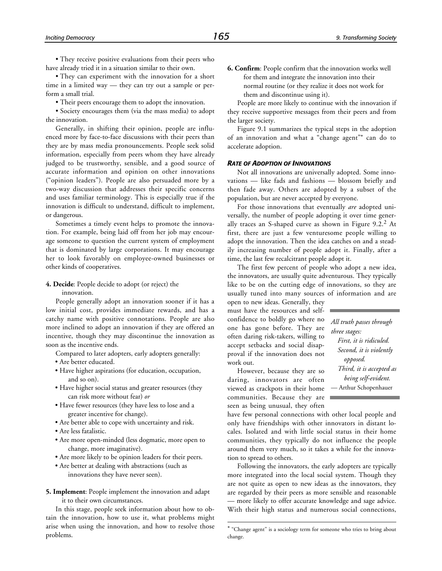• They receive positive evaluations from their peers who have already tried it in a situation similar to their own.

• They can experiment with the innovation for a short time in a limited way — they can try out a sample or perform a small trial.

• Their peers encourage them to adopt the innovation.

• Society encourages them (via the mass media) to adopt the innovation.

Generally, in shifting their opinion, people are influenced more by face-to-face discussions with their peers than they are by mass media pronouncements. People seek solid information, especially from peers whom they have already judged to be trustworthy, sensible, and a good source of accurate information and opinion on other innovations ("opinion leaders"). People are also persuaded more by a two-way discussion that addresses their specific concerns and uses familiar terminology. This is especially true if the innovation is difficult to understand, difficult to implement, or dangerous.

Sometimes a timely event helps to promote the innovation. For example, being laid off from her job may encourage someone to question the current system of employment that is dominated by large corporations. It may encourage her to look favorably on employee-owned businesses or other kinds of cooperatives.

#### **4. Decide**: People decide to adopt (or reject) the

innovation.

People generally adopt an innovation sooner if it has a low initial cost, provides immediate rewards, and has a catchy name with positive connotations. People are also more inclined to adopt an innovation if they are offered an incentive, though they may discontinue the innovation as soon as the incentive ends.

Compared to later adopters, early adopters generally:

- Are better educated.
- Have higher aspirations (for education, occupation, and so on).
- Have higher social status and greater resources (they can risk more without fear) *or*
- Have fewer resources (they have less to lose and a greater incentive for change).
- Are better able to cope with uncertainty and risk.
- Are less fatalistic.
- Are more open-minded (less dogmatic, more open to change, more imaginative).
- Are more likely to be opinion leaders for their peers.
- Are better at dealing with abstractions (such as innovations they have never seen).
- **5. Implement**: People implement the innovation and adapt it to their own circumstances.

In this stage, people seek information about how to obtain the innovation, how to use it, what problems might arise when using the innovation, and how to resolve those problems.

**6. Confirm**: People confirm that the innovation works well for them and integrate the innovation into their normal routine (or they realize it does not work for them and discontinue using it).

People are more likely to continue with the innovation if they receive supportive messages from their peers and from the larger society.

Figure 9.1 summarizes the typical steps in the adoption of an innovation and what a "change agent"\* can do to accelerate adoption.

#### *RATE OF ADOPTION OF INNOVATIONS*

Not all innovations are universally adopted. Some innovations — like fads and fashions — blossom briefly and then fade away. Others are adopted by a subset of the population, but are never accepted by everyone.

For those innovations that eventually *are* adopted universally, the number of people adopting it over time generally traces an S-shaped curve as shown in Figure 9.2.2 At first, there are just a few venturesome people willing to adopt the innovation. Then the idea catches on and a steadily increasing number of people adopt it. Finally, after a time, the last few recalcitrant people adopt it.

The first few percent of people who adopt a new idea, the innovators, are usually quite adventurous. They typically like to be on the cutting edge of innovations, so they are usually tuned into many sources of information and are

open to new ideas. Generally, they must have the resources and selfconfidence to boldly go where no one has gone before. They are often daring risk-takers, willing to accept setbacks and social disapproval if the innovation does not work out.

However, because they are so daring, innovators are often viewed as crackpots in their home communities. Because they are seen as being unusual, they often

1

*All truth passes through three stages: First, it is ridiculed. Second, it is violently opposed. Third, it is accepted as being self-evident.* — Arthur Schopenhauer

have few personal connections with other local people and only have friendships with other innovators in distant locales. Isolated and with little social status in their home communities, they typically do not influence the people around them very much, so it takes a while for the innovation to spread to others.

Following the innovators, the early adopters are typically more integrated into the local social system. Though they are not quite as open to new ideas as the innovators, they are regarded by their peers as more sensible and reasonable — more likely to offer accurate knowledge and sage advice. With their high status and numerous social connections,

<sup>\* &</sup>quot;Change agent" is a sociology term for someone who tries to bring about change.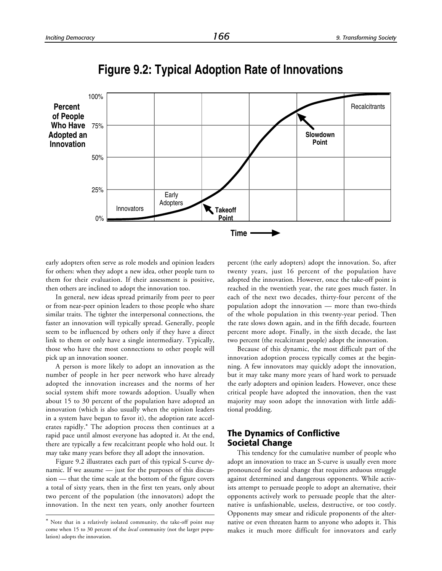

**Figure 9.2: Typical Adoption Rate of Innovations**

early adopters often serve as role models and opinion leaders for others: when they adopt a new idea, other people turn to them for their evaluation. If their assessment is positive, then others are inclined to adopt the innovation too.

In general, new ideas spread primarily from peer to peer or from near-peer opinion leaders to those people who share similar traits. The tighter the interpersonal connections, the faster an innovation will typically spread. Generally, people seem to be influenced by others only if they have a direct link to them or only have a single intermediary. Typically, those who have the most connections to other people will pick up an innovation sooner.

A person is more likely to adopt an innovation as the number of people in her peer network who have already adopted the innovation increases and the norms of her social system shift more towards adoption. Usually when about 15 to 30 percent of the population have adopted an innovation (which is also usually when the opinion leaders in a system have begun to favor it), the adoption rate accelerates rapidly.\* The adoption process then continues at a rapid pace until almost everyone has adopted it. At the end, there are typically a few recalcitrant people who hold out. It may take many years before they all adopt the innovation.

Figure 9.2 illustrates each part of this typical S-curve dynamic. If we assume — just for the purposes of this discussion — that the time scale at the bottom of the figure covers a total of sixty years, then in the first ten years, only about two percent of the population (the innovators) adopt the innovation. In the next ten years, only another fourteen

-

percent (the early adopters) adopt the innovation. So, after twenty years, just 16 percent of the population have adopted the innovation. However, once the take-off point is reached in the twentieth year, the rate goes much faster. In each of the next two decades, thirty-four percent of the population adopt the innovation — more than two-thirds of the whole population in this twenty-year period. Then the rate slows down again, and in the fifth decade, fourteen percent more adopt. Finally, in the sixth decade, the last two percent (the recalcitrant people) adopt the innovation.

Because of this dynamic, the most difficult part of the innovation adoption process typically comes at the beginning. A few innovators may quickly adopt the innovation, but it may take many more years of hard work to persuade the early adopters and opinion leaders. However, once these critical people have adopted the innovation, then the vast majority may soon adopt the innovation with little additional prodding.

#### **The Dynamics of Conflictive Societal Change**

This tendency for the cumulative number of people who adopt an innovation to trace an S-curve is usually even more pronounced for social change that requires arduous struggle against determined and dangerous opponents. While activists attempt to persuade people to adopt an alternative, their opponents actively work to persuade people that the alternative is unfashionable, useless, destructive, or too costly. Opponents may smear and ridicule proponents of the alternative or even threaten harm to anyone who adopts it. This makes it much more difficult for innovators and early

<sup>\*</sup> Note that in a relatively isolated community, the take-off point may come when 15 to 30 percent of the *local* community (not the larger population) adopts the innovation.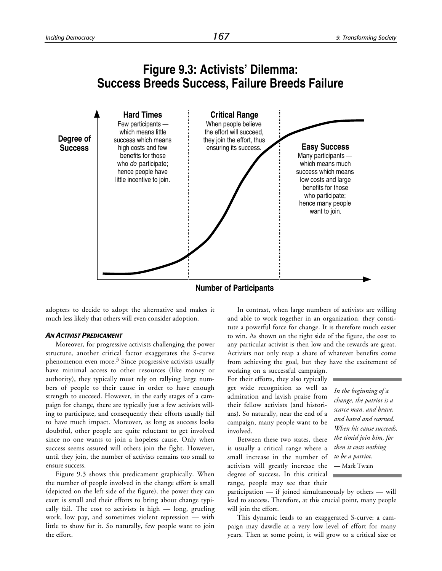#### **Figure 9.3: Activists' Dilemma: Success Breeds Success, Failure Breeds Failure**



**Number of Participants**

adopters to decide to adopt the alternative and makes it much less likely that others will even consider adoption.

#### *AN ACTIVIST PREDICAMENT*

Moreover, for progressive activists challenging the power structure, another critical factor exaggerates the S-curve phenomenon even more.<sup>3</sup> Since progressive activists usually have minimal access to other resources (like money or authority), they typically must rely on rallying large numbers of people to their cause in order to have enough strength to succeed. However, in the early stages of a campaign for change, there are typically just a few activists willing to participate, and consequently their efforts usually fail to have much impact. Moreover, as long as success looks doubtful, other people are quite reluctant to get involved since no one wants to join a hopeless cause. Only when success seems assured will others join the fight. However, until they join, the number of activists remains too small to ensure success.

Figure 9.3 shows this predicament graphically. When the number of people involved in the change effort is small (depicted on the left side of the figure), the power they can exert is small and their efforts to bring about change typically fail. The cost to activists is high — long, grueling work, low pay, and sometimes violent repression — with little to show for it. So naturally, few people want to join the effort.

In contrast, when large numbers of activists are willing and able to work together in an organization, they constitute a powerful force for change. It is therefore much easier to win. As shown on the right side of the figure, the cost to any particular activist is then low and the rewards are great. Activists not only reap a share of whatever benefits come from achieving the goal, but they have the excitement of

working on a successful campaign. For their efforts, they also typically get wide recognition as well as admiration and lavish praise from their fellow activists (and historians). So naturally, near the end of a campaign, many people want to be involved.

Between these two states, there is usually a critical range where a small increase in the number of activists will greatly increase the degree of success. In this critical range, people may see that their

*In the beginning of a change, the patriot is a scarce man, and brave, and hated and scorned. When his cause succeeds, the timid join him, for then it costs nothing to be a patriot.* — Mark Twain

participation — if joined simultaneously by others — will lead to success. Therefore, at this crucial point, many people will join the effort.

This dynamic leads to an exaggerated S-curve: a campaign may dawdle at a very low level of effort for many years. Then at some point, it will grow to a critical size or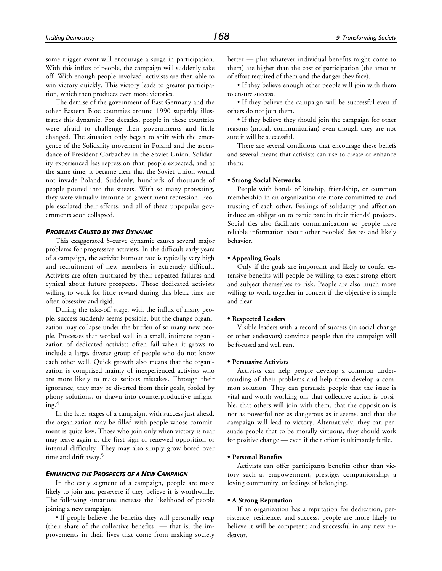some trigger event will encourage a surge in participation. With this influx of people, the campaign will suddenly take off. With enough people involved, activists are then able to win victory quickly. This victory leads to greater participation, which then produces even more victories.

The demise of the government of East Germany and the other Eastern Bloc countries around 1990 superbly illustrates this dynamic. For decades, people in these countries were afraid to challenge their governments and little changed. The situation only began to shift with the emergence of the Solidarity movement in Poland and the ascendance of President Gorbachev in the Soviet Union. Solidarity experienced less repression than people expected, and at the same time, it became clear that the Soviet Union would not invade Poland. Suddenly, hundreds of thousands of people poured into the streets. With so many protesting, they were virtually immune to government repression. People escalated their efforts, and all of these unpopular governments soon collapsed.

#### *PROBLEMS CAUSED BY THIS DYNAMIC*

This exaggerated S-curve dynamic causes several major problems for progressive activists. In the difficult early years of a campaign, the activist burnout rate is typically very high and recruitment of new members is extremely difficult. Activists are often frustrated by their repeated failures and cynical about future prospects. Those dedicated activists willing to work for little reward during this bleak time are often obsessive and rigid.

During the take-off stage, with the influx of many people, success suddenly seems possible, but the change organization may collapse under the burden of so many new people. Processes that worked well in a small, intimate organization of dedicated activists often fail when it grows to include a large, diverse group of people who do not know each other well. Quick growth also means that the organization is comprised mainly of inexperienced activists who are more likely to make serious mistakes. Through their ignorance, they may be diverted from their goals, fooled by phony solutions, or drawn into counterproductive infight $ing.<sup>4</sup>$ 

In the later stages of a campaign, with success just ahead, the organization may be filled with people whose commitment is quite low. Those who join only when victory is near may leave again at the first sign of renewed opposition or internal difficulty. They may also simply grow bored over time and drift away.<sup>5</sup>

#### *ENHANCING THE PROSPECTS OF A NEW CAMPAIGN*

In the early segment of a campaign, people are more likely to join and persevere if they believe it is worthwhile. The following situations increase the likelihood of people joining a new campaign:

• If people believe the benefits they will personally reap (their share of the collective benefits — that is, the improvements in their lives that come from making society better — plus whatever individual benefits might come to them) are higher than the cost of participation (the amount of effort required of them and the danger they face).

• If they believe enough other people will join with them to ensure success.

• If they believe the campaign will be successful even if others do not join them.

• If they believe they should join the campaign for other reasons (moral, communitarian) even though they are not sure it will be successful.

There are several conditions that encourage these beliefs and several means that activists can use to create or enhance them:

#### **• Strong Social Networks**

People with bonds of kinship, friendship, or common membership in an organization are more committed to and trusting of each other. Feelings of solidarity and affection induce an obligation to participate in their friends' projects. Social ties also facilitate communication so people have reliable information about other peoples' desires and likely behavior.

#### **• Appealing Goals**

Only if the goals are important and likely to confer extensive benefits will people be willing to exert strong effort and subject themselves to risk. People are also much more willing to work together in concert if the objective is simple and clear.

#### **• Respected Leaders**

Visible leaders with a record of success (in social change or other endeavors) convince people that the campaign will be focused and well run.

#### **• Persuasive Activists**

Activists can help people develop a common understanding of their problems and help them develop a common solution. They can persuade people that the issue is vital and worth working on, that collective action is possible, that others will join with them, that the opposition is not as powerful nor as dangerous as it seems, and that the campaign will lead to victory. Alternatively, they can persuade people that to be morally virtuous, they should work for positive change — even if their effort is ultimately futile.

#### **• Personal Benefits**

Activists can offer participants benefits other than victory such as empowerment, prestige, companionship, a loving community, or feelings of belonging.

#### **• A Strong Reputation**

If an organization has a reputation for dedication, persistence, resilience, and success, people are more likely to believe it will be competent and successful in any new endeavor.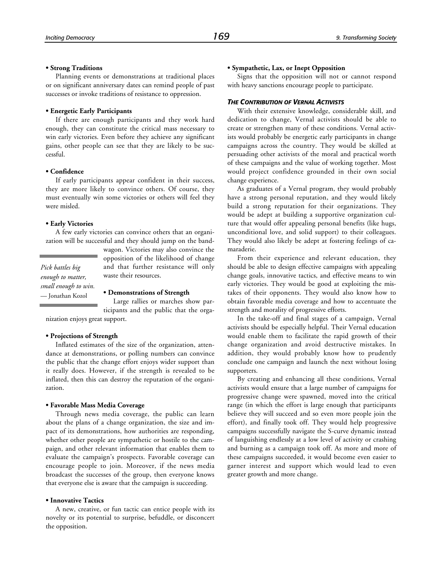**• Strong Traditions** Planning events or demonstrations at traditional places or on significant anniversary dates can remind people of past successes or invoke traditions of resistance to oppression.

#### **• Energetic Early Participants**

If there are enough participants and they work hard enough, they can constitute the critical mass necessary to win early victories. Even before they achieve any significant gains, other people can see that they are likely to be successful.

#### **• Confidence**

If early participants appear confident in their success, they are more likely to convince others. Of course, they must eventually win some victories or others will feel they were misled.

#### **• Early Victories**

A few early victories can convince others that an organization will be successful and they should jump on the band-

*Pick battles big enough to matter, small enough to win.* — Jonathan Kozol

wagon. Victories may also convince the opposition of the likelihood of change and that further resistance will only waste their resources.

#### **• Demonstrations of Strength**

Large rallies or marches show participants and the public that the organization enjoys great support.

#### **• Projections of Strength**

Inflated estimates of the size of the organization, attendance at demonstrations, or polling numbers can convince the public that the change effort enjoys wider support than it really does. However, if the strength is revealed to be inflated, then this can destroy the reputation of the organization.

#### **• Favorable Mass Media Coverage**

Through news media coverage, the public can learn about the plans of a change organization, the size and impact of its demonstrations, how authorities are responding, whether other people are sympathetic or hostile to the campaign, and other relevant information that enables them to evaluate the campaign's prospects. Favorable coverage can encourage people to join. Moreover, if the news media broadcast the successes of the group, then everyone knows that everyone else is aware that the campaign is succeeding.

#### **• Innovative Tactics**

A new, creative, or fun tactic can entice people with its novelty or its potential to surprise, befuddle, or disconcert the opposition.

#### **• Sympathetic, Lax, or Inept Opposition**

Signs that the opposition will not or cannot respond with heavy sanctions encourage people to participate.

#### *THE CONTRIBUTION OF VERNAL ACTIVISTS*

With their extensive knowledge, considerable skill, and dedication to change, Vernal activists should be able to create or strengthen many of these conditions. Vernal activists would probably be energetic early participants in change campaigns across the country. They would be skilled at persuading other activists of the moral and practical worth of these campaigns and the value of working together. Most would project confidence grounded in their own social change experience.

As graduates of a Vernal program, they would probably have a strong personal reputation, and they would likely build a strong reputation for their organizations. They would be adept at building a supportive organization culture that would offer appealing personal benefits (like hugs, unconditional love, and solid support) to their colleagues. They would also likely be adept at fostering feelings of camaraderie.

From their experience and relevant education, they should be able to design effective campaigns with appealing change goals, innovative tactics, and effective means to win early victories. They would be good at exploiting the mistakes of their opponents. They would also know how to obtain favorable media coverage and how to accentuate the strength and morality of progressive efforts.

In the take-off and final stages of a campaign, Vernal activists should be especially helpful. Their Vernal education would enable them to facilitate the rapid growth of their change organization and avoid destructive mistakes. In addition, they would probably know how to prudently conclude one campaign and launch the next without losing supporters.

By creating and enhancing all these conditions, Vernal activists would ensure that a large number of campaigns for progressive change were spawned, moved into the critical range (in which the effort is large enough that participants believe they will succeed and so even more people join the effort), and finally took off. They would help progressive campaigns successfully navigate the S-curve dynamic instead of languishing endlessly at a low level of activity or crashing and burning as a campaign took off. As more and more of these campaigns succeeded, it would become even easier to garner interest and support which would lead to even greater growth and more change.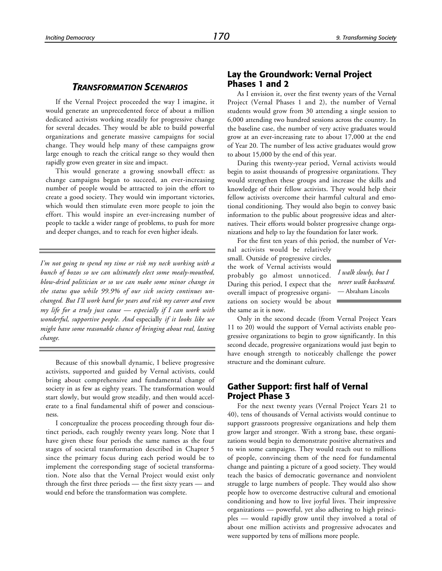#### *TRANSFORMATION SCENARIOS*

If the Vernal Project proceeded the way I imagine, it would generate an unprecedented force of about a million dedicated activists working steadily for progressive change for several decades. They would be able to build powerful organizations and generate massive campaigns for social change. They would help many of these campaigns grow large enough to reach the critical range so they would then rapidly grow even greater in size and impact.

This would generate a growing snowball effect: as change campaigns began to succeed, an ever-increasing number of people would be attracted to join the effort to create a good society. They would win important victories, which would then stimulate even more people to join the effort. This would inspire an ever-increasing number of people to tackle a wider range of problems, to push for more and deeper changes, and to reach for even higher ideals.

*I'm not going to spend my time or risk my neck working with a bunch of bozos so we can ultimately elect some mealy-mouthed, blow-dried politician or so we can make some minor change in the status quo while 99.9% of our sick society continues unchanged. But I'll work hard for years and risk my career and even my life for a truly just cause — especially if I can work with wonderful, supportive people. And* especially *if it looks like we might have some reasonable chance of bringing about real, lasting change.*

Because of this snowball dynamic, I believe progressive activists, supported and guided by Vernal activists, could bring about comprehensive and fundamental change of society in as few as eighty years. The transformation would start slowly, but would grow steadily, and then would accelerate to a final fundamental shift of power and consciousness.

I conceptualize the process proceeding through four distinct periods, each roughly twenty years long. Note that I have given these four periods the same names as the four stages of societal transformation described in Chapter 5 since the primary focus during each period would be to implement the corresponding stage of societal transformation. Note also that the Vernal Project would exist only through the first three periods — the first sixty years — and would end before the transformation was complete.

#### **Lay the Groundwork: Vernal Project Phases 1 and 2**

As I envision it, over the first twenty years of the Vernal Project (Vernal Phases 1 and 2), the number of Vernal students would grow from 30 attending a single session to 6,000 attending two hundred sessions across the country. In the baseline case, the number of very active graduates would grow at an ever-increasing rate to about 17,000 at the end of Year 20. The number of less active graduates would grow to about 15,000 by the end of this year.

During this twenty-year period, Vernal activists would begin to assist thousands of progressive organizations. They would strengthen these groups and increase the skills and knowledge of their fellow activists. They would help their fellow activists overcome their harmful cultural and emotional conditioning. They would also begin to convey basic information to the public about progressive ideas and alternatives. Their efforts would bolster progressive change organizations and help to lay the foundation for later work.

For the first ten years of this period, the number of Ver-

nal activists would be relatively small. Outside of progressive circles, the work of Vernal activists would probably go almost unnoticed. During this period, I expect that the overall impact of progressive organizations on society would be about the same as it is now.

*I walk slowly, but I never walk backward.* — Abraham Lincoln

Only in the second decade (from Vernal Project Years 11 to 20) would the support of Vernal activists enable progressive organizations to begin to grow significantly. In this second decade, progressive organizations would just begin to have enough strength to noticeably challenge the power structure and the dominant culture.

#### **Gather Support: first half of Vernal Project Phase 3**

For the next twenty years (Vernal Project Years 21 to 40), tens of thousands of Vernal activists would continue to support grassroots progressive organizations and help them grow larger and stronger. With a strong base, these organizations would begin to demonstrate positive alternatives and to win some campaigns. They would reach out to millions of people, convincing them of the need for fundamental change and painting a picture of a good society. They would teach the basics of democratic governance and nonviolent struggle to large numbers of people. They would also show people how to overcome destructive cultural and emotional conditioning and how to live joyful lives. Their impressive organizations — powerful, yet also adhering to high principles — would rapidly grow until they involved a total of about one million activists and progressive advocates and were supported by tens of millions more people.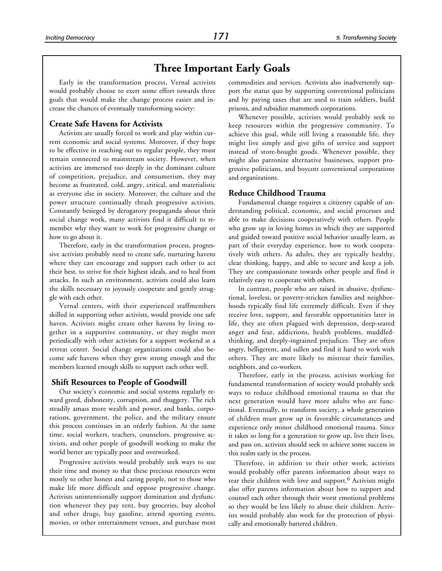#### **Three Important Early Goals**

Early in the transformation process, Vernal activists would probably choose to exert some effort towards three goals that would make the change process easier and increase the chances of eventually transforming society:

#### **Create Safe Havens for Activists**

Activists are usually forced to work and play within current economic and social systems. Moreover, if they hope to be effective in reaching out to regular people, they must remain connected to mainstream society. However, when activists are immersed too deeply in the dominant culture of competition, prejudice, and consumerism, they may become as frustrated, cold, angry, critical, and materialistic as everyone else in society. Moreover, the culture and the power structure continually thrash progressive activists. Constantly besieged by derogatory propaganda about their social change work, many activists find it difficult to remember why they want to work for progressive change or how to go about it.

Therefore, early in the transformation process, progressive activists probably need to create safe, nurturing havens where they can encourage and support each other to act their best, to strive for their highest ideals, and to heal from attacks. In such an environment, activists could also learn the skills necessary to joyously cooperate and gently struggle with each other.

Vernal centers, with their experienced staffmembers skilled in supporting other activists, would provide one safe haven. Activists might create other havens by living together in a supportive community, or they might meet periodically with other activists for a support weekend at a retreat center. Social change organizations could also become safe havens when they grew strong enough and the members learned enough skills to support each other well.

#### **Shift Resources to People of Goodwill**

Our society's economic and social systems regularly reward greed, dishonesty, corruption, and thuggery. The rich steadily amass more wealth and power, and banks, corporations, government, the police, and the military ensure this process continues in an orderly fashion. At the same time, social workers, teachers, counselors, progressive activists, and other people of goodwill working to make the world better are typically poor and overworked.

Progressive activists would probably seek ways to use their time and money so that these precious resources went mostly to other honest and caring people, not to those who make life more difficult and oppose progressive change. Activists unintentionally support domination and dysfunction whenever they pay rent, buy groceries, buy alcohol and other drugs, buy gasoline, attend sporting events, movies, or other entertainment venues, and purchase most

commodities and services. Activists also inadvertently support the status quo by supporting conventional politicians and by paying taxes that are used to train soldiers, build prisons, and subsidize mammoth corporations.

Whenever possible, activists would probably seek to keep resources within the progressive community. To achieve this goal, while still living a reasonable life, they might live simply and give gifts of service and support instead of store-bought goods. Whenever possible, they might also patronize alternative businesses, support progressive politicians, and boycott conventional corporations and organizations.

#### **Reduce Childhood Trauma**

Fundamental change requires a citizenry capable of understanding political, economic, and social processes and able to make decisions cooperatively with others. People who grow up in loving homes in which they are supported and guided toward positive social behavior usually learn, as part of their everyday experience, how to work cooperatively with others. As adults, they are typically healthy, clear thinking, happy, and able to secure and keep a job. They are compassionate towards other people and find it relatively easy to cooperate with others.

In contrast, people who are raised in abusive, dysfunctional, loveless, or poverty-stricken families and neighborhoods typically find life extremely difficult. Even if they receive love, support, and favorable opportunities later in life, they are often plagued with depression, deep-seated anger and fear, addictions, health problems, muddledthinking, and deeply-ingrained prejudices. They are often angry, belligerent, and sullen and find it hard to work with others. They are more likely to mistreat their families, neighbors, and co-workers.

Therefore, early in the process, activists working for fundamental transformation of society would probably seek ways to reduce childhood emotional trauma so that the next generation would have more adults who are functional. Eventually, to transform society, a whole generation of children must grow up in favorable circumstances and experience only minor childhood emotional trauma. Since it takes so long for a generation to grow up, live their lives, and pass on, activists should seek to achieve some success in this realm early in the process.

Therefore, in addition to their other work, activists would probably offer parents information about ways to rear their children with love and support.<sup>6</sup> Activists might also offer parents information about how to support and counsel each other through their worst emotional problems so they would be less likely to abuse their children. Activists would probably also work for the protection of physically and emotionally battered children.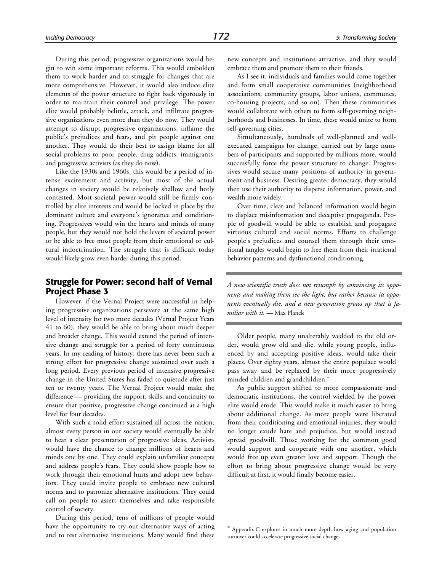During this period, progressive organizations would begin to win some important reforms. This would embolden them to work harder and to struggle for changes that are more comprehensive. However, it would also induce elite elements of the power structure to fight back vigorously in order to maintain their control and privilege. The power elite would probably belittle, attack, and infiltrate progressive organizations even more than they do now. They would attempt to disrupt progressive organizations, inflame the public's prejudices and fears, and pit people against one another. They would do their best to assign blame for all social problems to poor people, drug addicts, immigrants, and progressive activists (as they do now).

Like the 1930s and 1960s, this would be a period of intense excitement and activity, but most of the actual changes in society would be relatively shallow and hotly contested. Most societal power would still be firmly controlled by elite interests and would be locked in place by the dominant culture and everyone's ignorance and conditioning. Progressives would win the hearts and minds of many people, but they would not hold the levers of societal power or be able to free most people from their emotional or cultural indoctrination. The struggle that is difficult today would likely grow even harder during this period.

#### **Struggle for Power: second half of Vernal Project Phase 3**

However, if the Vernal Project were successful in helping progressive organizations persevere at the same high level of intensity for two more decades (Vernal Project Years 41 to 60), they would be able to bring about much deeper and broader change. This would extend the period of intensive change and struggle for a period of forty continuous years. In my reading of history, there has never been such a strong effort for progressive change sustained over such a long period. Every previous period of intensive progressive change in the United States has faded to quietude after just ten or twenty years. The Vernal Project would make the difference — providing the support, skills, and continuity to ensure that positive, progressive change continued at a high level for four decades.

With such a solid effort sustained all across the nation, almost every person in our society would eventually be able to hear a clear presentation of progressive ideas. Activists would have the chance to change millions of hearts and minds one by one. They could explain unfamiliar concepts and address people's fears. They could show people how to work through their emotional hurts and adopt new behaviors. They could invite people to embrace new cultural norms and to patronize alternative institutions. They could call on people to assert themselves and take responsible control of society.

During this period, tens of millions of people would have the opportunity to try out alternative ways of acting and to test alternative institutions. Many would find these

new concepts and institutions attractive, and they would embrace them and promote them to their friends.

As I see it, individuals and families would come together and form small cooperative communities (neighborhood associations, community groups, labor unions, communes, co-housing projects, and so on). Then these communities would collaborate with others to form self-governing neighborhoods and businesses. In time, these would unite to form self-governing cities.

Simultaneously, hundreds of well-planned and wellexecuted campaigns for change, carried out by large numbers of participants and supported by millions more, would successfully force the power structure to change. Progressives would secure many positions of authority in government and business. Desiring greater democracy, they would then use their authority to disperse information, power, and wealth more widely.

Over time, clear and balanced information would begin to displace misinformation and deceptive propaganda. People of goodwill would be able to establish and propagate virtuous cultural and social norms. Efforts to challenge people's prejudices and counsel them through their emotional tangles would begin to free them from their irrational behavior patterns and dysfunctional conditioning.

*A new scientific truth does not triumph by convincing its opponents and making them see the light, but rather because its opponents eventually die, and a new generation grows up that is familiar with it.* — Max Planck

Older people, many unalterably wedded to the old order, would grow old and die, while young people, influenced by and accepting positive ideas, would take their places. Over eighty years, almost the entire populace would pass away and be replaced by their more progressively minded children and grandchildren.\*

As public support shifted to more compassionate and democratic institutions, the control wielded by the power elite would erode. This would make it much easier to bring about additional change. As more people were liberated from their conditioning and emotional injuries, they would no longer exude hate and prejudice, but would instead spread goodwill. Those working for the common good would support and cooperate with one another, which would free up even greater love and support. Though the effort to bring about progressive change would be very difficult at first, it would finally become easier.

1

<sup>\*</sup> Appendix C explores in much more depth how aging and population turnover could accelerate progressive social change.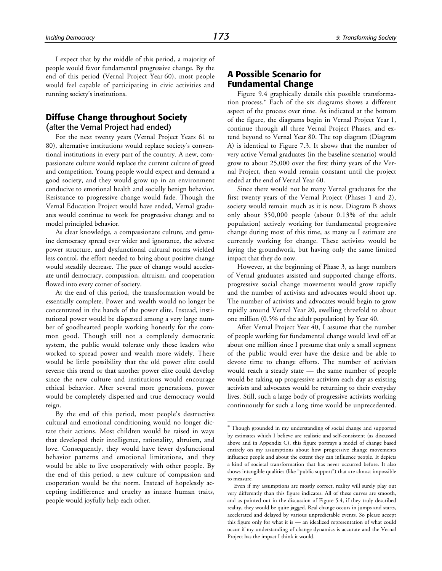1

I expect that by the middle of this period, a majority of people would favor fundamental progressive change. By the end of this period (Vernal Project Year 60), most people would feel capable of participating in civic activities and running society's institutions.

#### **Diffuse Change throughout Society**

(after the Vernal Project had ended)

For the next twenty years (Vernal Project Years 61 to 80), alternative institutions would replace society's conventional institutions in every part of the country. A new, compassionate culture would replace the current culture of greed and competition. Young people would expect and demand a good society, and they would grow up in an environment conducive to emotional health and socially benign behavior. Resistance to progressive change would fade. Though the Vernal Education Project would have ended, Vernal graduates would continue to work for progressive change and to model principled behavior.

As clear knowledge, a compassionate culture, and genuine democracy spread ever wider and ignorance, the adverse power structure, and dysfunctional cultural norms wielded less control, the effort needed to bring about positive change would steadily decrease. The pace of change would accelerate until democracy, compassion, altruism, and cooperation flowed into every corner of society.

At the end of this period, the transformation would be essentially complete. Power and wealth would no longer be concentrated in the hands of the power elite. Instead, institutional power would be dispersed among a very large number of goodhearted people working honestly for the common good. Though still not a completely democratic system, the public would tolerate only those leaders who worked to spread power and wealth more widely. There would be little possibility that the old power elite could reverse this trend or that another power elite could develop since the new culture and institutions would encourage ethical behavior. After several more generations, power would be completely dispersed and true democracy would reign.

By the end of this period, most people's destructive cultural and emotional conditioning would no longer dictate their actions. Most children would be raised in ways that developed their intelligence, rationality, altruism, and love. Consequently, they would have fewer dysfunctional behavior patterns and emotional limitations, and they would be able to live cooperatively with other people. By the end of this period, a new culture of compassion and cooperation would be the norm. Instead of hopelessly accepting indifference and cruelty as innate human traits, people would joyfully help each other.

#### **A Possible Scenario for Fundamental Change**

Figure 9.4 graphically details this possible transformation process.\* Each of the six diagrams shows a different aspect of the process over time. As indicated at the bottom of the figure, the diagrams begin in Vernal Project Year 1, continue through all three Vernal Project Phases, and extend beyond to Vernal Year 80. The top diagram (Diagram A) is identical to Figure 7.3. It shows that the number of very active Vernal graduates (in the baseline scenario) would grow to about 25,000 over the first thirty years of the Vernal Project, then would remain constant until the project ended at the end of Vernal Year 60.

Since there would not be many Vernal graduates for the first twenty years of the Vernal Project (Phases 1 and 2), society would remain much as it is now. Diagram B shows only about 350,000 people (about 0.13% of the adult population) actively working for fundamental progressive change during most of this time, as many as I estimate are currently working for change. These activists would be laying the groundwork, but having only the same limited impact that they do now.

However, at the beginning of Phase 3, as large numbers of Vernal graduates assisted and supported change efforts, progressive social change movements would grow rapidly and the number of activists and advocates would shoot up. The number of activists and advocates would begin to grow rapidly around Vernal Year 20, swelling threefold to about one million (0.5% of the adult population) by Year 40.

After Vernal Project Year 40, I assume that the number of people working for fundamental change would level off at about one million since I presume that only a small segment of the public would ever have the desire and be able to devote time to change efforts. The number of activists would reach a steady state — the same number of people would be taking up progressive activism each day as existing activists and advocates would be returning to their everyday lives. Still, such a large body of progressive activists working continuously for such a long time would be unprecedented.

<sup>\*</sup> Though grounded in my understanding of social change and supported by estimates which I believe are realistic and self-consistent (as discussed above and in Appendix C), this figure portrays a model of change based entirely on my assumptions about how progressive change movements influence people and about the extent they can influence people. It depicts a kind of societal transformation that has never occurred before. It also shows intangible qualities (like "public support") that are almost impossible to measure.

Even if my assumptions are mostly correct, reality will surely play out very differently than this figure indicates. All of these curves are smooth, and as pointed out in the discussion of Figure 5.4, if they truly described reality, they would be quite jagged. Real change occurs in jumps and starts, accelerated and delayed by various unpredictable events. So please accept this figure only for what it is — an idealized representation of what could occur if my understanding of change dynamics is accurate and the Vernal Project has the impact I think it would.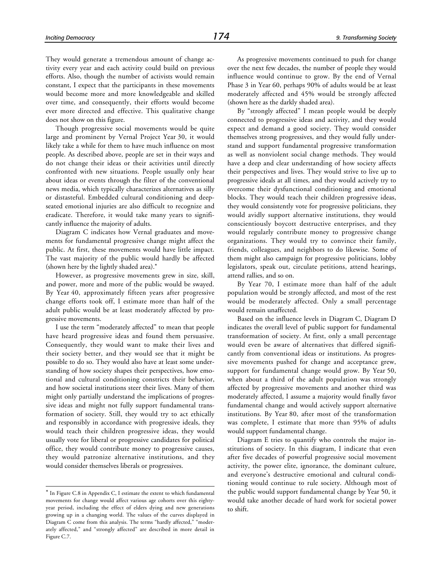They would generate a tremendous amount of change activity every year and each activity could build on previous efforts. Also, though the number of activists would remain constant, I expect that the participants in these movements would become more and more knowledgeable and skilled over time, and consequently, their efforts would become ever more directed and effective. This qualitative change does not show on this figure.

Though progressive social movements would be quite large and prominent by Vernal Project Year 30, it would likely take a while for them to have much influence on most people. As described above, people are set in their ways and do not change their ideas or their activities until directly confronted with new situations. People usually only hear about ideas or events through the filter of the conventional news media, which typically characterizes alternatives as silly or distasteful. Embedded cultural conditioning and deepseated emotional injuries are also difficult to recognize and eradicate. Therefore, it would take many years to significantly influence the majority of adults.

Diagram C indicates how Vernal graduates and movements for fundamental progressive change might affect the public. At first, these movements would have little impact. The vast majority of the public would hardly be affected (shown here by the lightly shaded area).\*

However, as progressive movements grew in size, skill, and power, more and more of the public would be swayed. By Year 40, approximately fifteen years after progressive change efforts took off, I estimate more than half of the adult public would be at least moderately affected by progressive movements.

I use the term "moderately affected" to mean that people have heard progressive ideas and found them persuasive. Consequently, they would want to make their lives and their society better, and they would see that it might be possible to do so. They would also have at least some understanding of how society shapes their perspectives, how emotional and cultural conditioning constricts their behavior, and how societal institutions steer their lives. Many of them might only partially understand the implications of progressive ideas and might not fully support fundamental transformation of society. Still, they would try to act ethically and responsibly in accordance with progressive ideals, they would teach their children progressive ideas, they would usually vote for liberal or progressive candidates for political office, they would contribute money to progressive causes, they would patronize alternative institutions, and they would consider themselves liberals or progressives.

-

As progressive movements continued to push for change over the next few decades, the number of people they would influence would continue to grow. By the end of Vernal Phase 3 in Year 60, perhaps 90% of adults would be at least moderately affected and 45% would be strongly affected (shown here as the darkly shaded area).

By "strongly affected" I mean people would be deeply connected to progressive ideas and activity, and they would expect and demand a good society. They would consider themselves strong progressives, and they would fully understand and support fundamental progressive transformation as well as nonviolent social change methods. They would have a deep and clear understanding of how society affects their perspectives and lives. They would strive to live up to progressive ideals at all times, and they would actively try to overcome their dysfunctional conditioning and emotional blocks. They would teach their children progressive ideas, they would consistently vote for progressive politicians, they would avidly support alternative institutions, they would conscientiously boycott destructive enterprises, and they would regularly contribute money to progressive change organizations. They would try to convince their family, friends, colleagues, and neighbors to do likewise. Some of them might also campaign for progressive politicians, lobby legislators, speak out, circulate petitions, attend hearings, attend rallies, and so on.

By Year 70, I estimate more than half of the adult population would be strongly affected, and most of the rest would be moderately affected. Only a small percentage would remain unaffected.

Based on the influence levels in Diagram C, Diagram D indicates the overall level of public support for fundamental transformation of society. At first, only a small percentage would even be aware of alternatives that differed significantly from conventional ideas or institutions. As progressive movements pushed for change and acceptance grew, support for fundamental change would grow. By Year 50, when about a third of the adult population was strongly affected by progressive movements and another third was moderately affected, I assume a majority would finally favor fundamental change and would actively support alternative institutions. By Year 80, after most of the transformation was complete, I estimate that more than 95% of adults would support fundamental change.

Diagram E tries to quantify who controls the major institutions of society. In this diagram, I indicate that even after five decades of powerful progressive social movement activity, the power elite, ignorance, the dominant culture, and everyone's destructive emotional and cultural conditioning would continue to rule society. Although most of the public would support fundamental change by Year 50, it would take another decade of hard work for societal power to shift.

<sup>\*</sup> In Figure C.8 in Appendix C, I estimate the extent to which fundamental movements for change would affect various age cohorts over this eightyyear period, including the effect of elders dying and new generations growing up in a changing world. The values of the curves displayed in Diagram C come from this analysis. The terms "hardly affected," "moderately affected," and "strongly affected" are described in more detail in Figure C.7.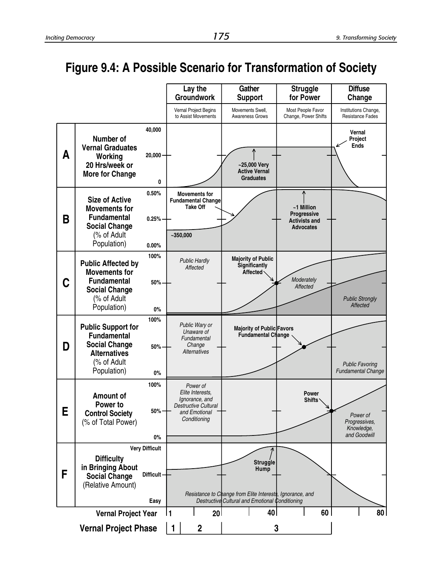

#### **Figure 9.4: A Possible Scenario for Transformation of Society**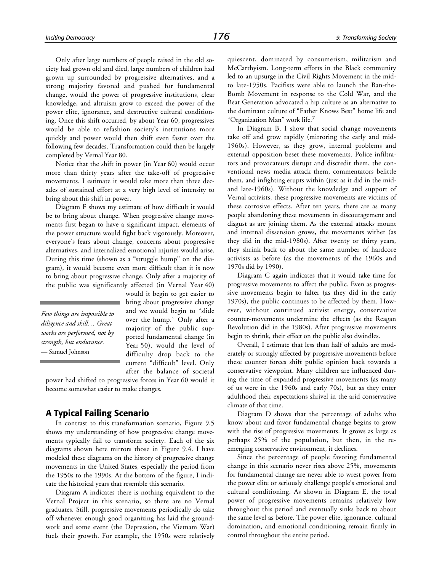Only after large numbers of people raised in the old society had grown old and died, large numbers of children had grown up surrounded by progressive alternatives, and a strong majority favored and pushed for fundamental change, would the power of progressive institutions, clear knowledge, and altruism grow to exceed the power of the power elite, ignorance, and destructive cultural conditioning. Once this shift occurred, by about Year 60, progressives would be able to refashion society's institutions more quickly and power would then shift even faster over the following few decades. Transformation could then be largely completed by Vernal Year 80.

Notice that the shift in power (in Year 60) would occur more than thirty years after the take-off of progressive movements. I estimate it would take more than three decades of sustained effort at a very high level of intensity to bring about this shift in power.

Diagram F shows my estimate of how difficult it would be to bring about change. When progressive change movements first began to have a significant impact, elements of the power structure would fight back vigorously. Moreover, everyone's fears about change, concerns about progressive alternatives, and internalized emotional injuries would arise. During this time (shown as a "struggle hump" on the diagram), it would become even more difficult than it is now to bring about progressive change. Only after a majority of the public was significantly affected (in Vernal Year 40)

*Few things are impossible to diligence and skill… Great works are performed, not by strength, but endurance.* — Samuel Johnson

would it begin to get easier to bring about progressive change and we would begin to "slide over the hump." Only after a majority of the public supported fundamental change (in Year 50), would the level of difficulty drop back to the current "difficult" level. Only after the balance of societal

power had shifted to progressive forces in Year 60 would it become somewhat easier to make changes.

#### **A Typical Failing Scenario**

In contrast to this transformation scenario, Figure 9.5 shows my understanding of how progressive change movements typically fail to transform society. Each of the six diagrams shown here mirrors those in Figure 9.4. I have modeled these diagrams on the history of progressive change movements in the United States, especially the period from the 1950s to the 1990s. At the bottom of the figure, I indicate the historical years that resemble this scenario.

Diagram A indicates there is nothing equivalent to the Vernal Project in this scenario, so there are no Vernal graduates. Still, progressive movements periodically do take off whenever enough good organizing has laid the groundwork and some event (the Depression, the Vietnam War) fuels their growth. For example, the 1950s were relatively quiescent, dominated by consumerism, militarism and McCarthyism. Long-term efforts in the Black community led to an upsurge in the Civil Rights Movement in the midto late-1950s. Pacifists were able to launch the Ban-the-Bomb Movement in response to the Cold War, and the Beat Generation advocated a hip culture as an alternative to the dominant culture of "Father Knows Best" home life and "Organization Man" work life.<sup>7</sup>

In Diagram B, I show that social change movements take off and grow rapidly (mirroring the early and mid-1960s). However, as they grow, internal problems and external opposition beset these movements. Police infiltrators and provocateurs disrupt and discredit them, the conventional news media attack them, commentators belittle them, and infighting erupts within (just as it did in the midand late-1960s). Without the knowledge and support of Vernal activists, these progressive movements are victims of these corrosive effects. After ten years, there are as many people abandoning these movements in discouragement and disgust as are joining them. As the external attacks mount and internal dissension grows, the movements wither (as they did in the mid-1980s). After twenty or thirty years, they shrink back to about the same number of hardcore activists as before (as the movements of the 1960s and 1970s did by 1990).

Diagram C again indicates that it would take time for progressive movements to affect the public. Even as progressive movements begin to falter (as they did in the early 1970s), the public continues to be affected by them. However, without continued activist energy, conservative counter-movements undermine the effects (as the Reagan Revolution did in the 1980s). After progressive movements begin to shrink, their effect on the public also dwindles.

Overall, I estimate that less than half of adults are moderately or strongly affected by progressive movements before these counter forces shift public opinion back towards a conservative viewpoint. Many children are influenced during the time of expanded progressive movements (as many of us were in the 1960s and early 70s), but as they enter adulthood their expectations shrivel in the arid conservative climate of that time.

Diagram D shows that the percentage of adults who know about and favor fundamental change begins to grow with the rise of progressive movements. It grows as large as perhaps 25% of the population, but then, in the reemerging conservative environment, it declines.

Since the percentage of people favoring fundamental change in this scenario never rises above 25%, movements for fundamental change are never able to wrest power from the power elite or seriously challenge people's emotional and cultural conditioning. As shown in Diagram E, the total power of progressive movements remains relatively low throughout this period and eventually sinks back to about the same level as before. The power elite, ignorance, cultural domination, and emotional conditioning remain firmly in control throughout the entire period.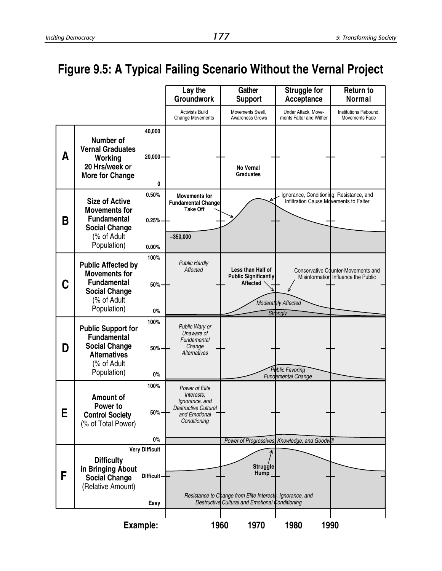### **Figure 9.5: A Typical Failing Scenario Without the Vernal Project**

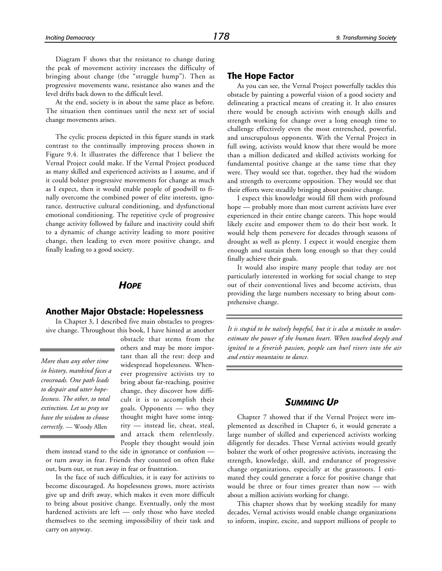Diagram F shows that the resistance to change during the peak of movement activity increases the difficulty of bringing about change (the "struggle hump"). Then as progressive movements wane, resistance also wanes and the level drifts back down to the difficult level.

At the end, society is in about the same place as before. The situation then continues until the next set of social change movements arises.

The cyclic process depicted in this figure stands in stark contrast to the continually improving process shown in Figure 9.4. It illustrates the difference that I believe the Vernal Project could make. If the Vernal Project produced as many skilled and experienced activists as I assume, and if it could bolster progressive movements for change as much as I expect, then it would enable people of goodwill to finally overcome the combined power of elite interests, ignorance, destructive cultural conditioning, and dysfunctional emotional conditioning. The repetitive cycle of progressive change activity followed by failure and inactivity could shift to a dynamic of change activity leading to more positive change, then leading to even more positive change, and finally leading to a good society.

#### *HOPE*

#### **Another Major Obstacle: Hopelessness**

In Chapter 3, I described five main obstacles to progressive change. Throughout this book, I have hinted at another

*More than any other time in history, mankind faces a crossroads. One path leads to despair and utter hopelessness. The other, to total extinction. Let us pray we have the wisdom to choose correctly.* — Woody Allen

obstacle that stems from the others and may be more important than all the rest: deep and widespread hopelessness. Whenever progressive activists try to bring about far-reaching, positive change, they discover how difficult it is to accomplish their goals. Opponents — who they thought might have some integrity — instead lie, cheat, steal, and attack them relentlessly. People they thought would join

them instead stand to the side in ignorance or confusion or turn away in fear. Friends they counted on often flake out, burn out, or run away in fear or frustration.

In the face of such difficulties, it is easy for activists to become discouraged. As hopelessness grows, more activists give up and drift away, which makes it even more difficult to bring about positive change. Eventually, only the most hardened activists are left — only those who have steeled themselves to the seeming impossibility of their task and carry on anyway.

#### **The Hope Factor**

As you can see, the Vernal Project powerfully tackles this obstacle by painting a powerful vision of a good society and delineating a practical means of creating it. It also ensures there would be enough activists with enough skills and strength working for change over a long enough time to challenge effectively even the most entrenched, powerful, and unscrupulous opponents. With the Vernal Project in full swing, activists would know that there would be more than a million dedicated and skilled activists working for fundamental positive change at the same time that they were. They would see that, together, they had the wisdom and strength to overcome opposition. They would see that their efforts were steadily bringing about positive change.

I expect this knowledge would fill them with profound hope — probably more than most current activists have ever experienced in their entire change careers. This hope would likely excite and empower them to do their best work. It would help them persevere for decades through seasons of drought as well as plenty. I expect it would energize them enough and sustain them long enough so that they could finally achieve their goals.

It would also inspire many people that today are not particularly interested in working for social change to step out of their conventional lives and become activists, thus providing the large numbers necessary to bring about comprehensive change.

*It is stupid to be naïvely hopeful, but it is also a mistake to underestimate the power of the human heart. When touched deeply and ignited to a feverish passion, people can hurl rivers into the air and entice mountains to dance.*

#### *SUMMING UP*

Chapter 7 showed that if the Vernal Project were implemented as described in Chapter 6, it would generate a large number of skilled and experienced activists working diligently for decades. These Vernal activists would greatly bolster the work of other progressive activists, increasing the strength, knowledge, skill, and endurance of progressive change organizations, especially at the grassroots. I estimated they could generate a force for positive change that would be three or four times greater than now — with about a million activists working for change.

This chapter shows that by working steadily for many decades, Vernal activists would enable change organizations to inform, inspire, excite, and support millions of people to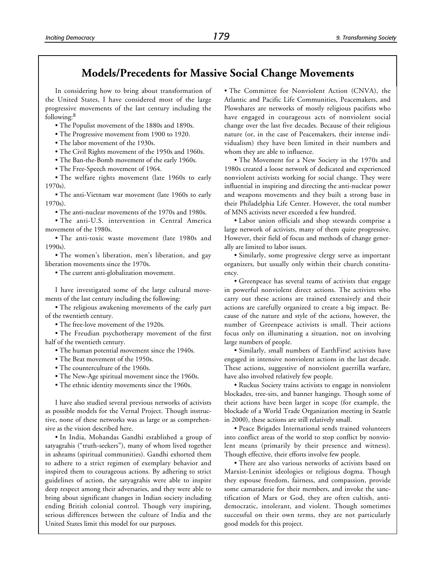#### **Models/Precedents for Massive Social Change Movements**

In considering how to bring about transformation of the United States, I have considered most of the large progressive movements of the last century including the following:<sup>8</sup>

- The Populist movement of the 1880s and 1890s.
- The Progressive movement from 1900 to 1920.
- The labor movement of the 1930s.
- The Civil Rights movement of the 1950s and 1960s.
- The Ban-the-Bomb movement of the early 1960s.
- The Free-Speech movement of 1964.

• The welfare rights movement (late 1960s to early 1970s).

• The anti-Vietnam war movement (late 1960s to early 1970s).

• The anti-nuclear movements of the 1970s and 1980s.

• The anti-U.S. intervention in Central America movement of the 1980s.

• The anti-toxic waste movement (late 1980s and 1990s).

• The women's liberation, men's liberation, and gay liberation movements since the 1970s.

• The current anti-globalization movement.

I have investigated some of the large cultural movements of the last century including the following:

• The religious awakening movements of the early part of the twentieth century.

• The free-love movement of the 1920s.

• The Freudian psychotherapy movement of the first half of the twentieth century.

- The human potential movement since the 1940s.
- The Beat movement of the 1950s.
- The counterculture of the 1960s.
- The New-Age spiritual movement since the 1960s.
- The ethnic identity movements since the 1960s.

I have also studied several previous networks of activists as possible models for the Vernal Project. Though instructive, none of these networks was as large or as comprehensive as the vision described here.

• In India, Mohandas Gandhi established a group of satyagrahis ("truth-seekers"), many of whom lived together in ashrams (spiritual communities). Gandhi exhorted them to adhere to a strict regimen of exemplary behavior and inspired them to courageous actions. By adhering to strict guidelines of action, the satyagrahis were able to inspire deep respect among their adversaries, and they were able to bring about significant changes in Indian society including ending British colonial control. Though very inspiring, serious differences between the culture of India and the United States limit this model for our purposes.

• The Committee for Nonviolent Action (CNVA), the Atlantic and Pacific Life Communities, Peacemakers, and Plowshares are networks of mostly religious pacifists who have engaged in courageous acts of nonviolent social change over the last five decades. Because of their religious nature (or, in the case of Peacemakers, their intense individualism) they have been limited in their numbers and whom they are able to influence.

• The Movement for a New Society in the 1970s and 1980s created a loose network of dedicated and experienced nonviolent activists working for social change. They were influential in inspiring and directing the anti-nuclear power and weapons movements and they built a strong base in their Philadelphia Life Center. However, the total number of MNS activists never exceeded a few hundred.

• Labor union officials and shop stewards comprise a large network of activists, many of them quite progressive. However, their field of focus and methods of change generally are limited to labor issues.

• Similarly, some progressive clergy serve as important organizers, but usually only within their church constituency.

• Greenpeace has several teams of activists that engage in powerful nonviolent direct actions. The activists who carry out these actions are trained extensively and their actions are carefully organized to create a big impact. Because of the nature and style of the actions, however, the number of Greenpeace activists is small. Their actions focus only on illuminating a situation, not on involving large numbers of people.

• Similarly, small numbers of EarthFirst! activists have engaged in intensive nonviolent actions in the last decade. These actions, suggestive of nonviolent guerrilla warfare, have also involved relatively few people.

• Ruckus Society trains activists to engage in nonviolent blockades, tree-sits, and banner hangings. Though some of their actions have been larger in scope (for example, the blockade of a World Trade Organization meeting in Seattle in 2000), these actions are still relatively small.

• Peace Brigades International sends trained volunteers into conflict areas of the world to stop conflict by nonviolent means (primarily by their presence and witness). Though effective, their efforts involve few people.

• There are also various networks of activists based on Marxist-Leninist ideologies or religious dogma. Though they espouse freedom, fairness, and compassion, provide some camaraderie for their members, and invoke the sanctification of Marx or God, they are often cultish, antidemocratic, intolerant, and violent. Though sometimes successful on their own terms, they are not particularly good models for this project.